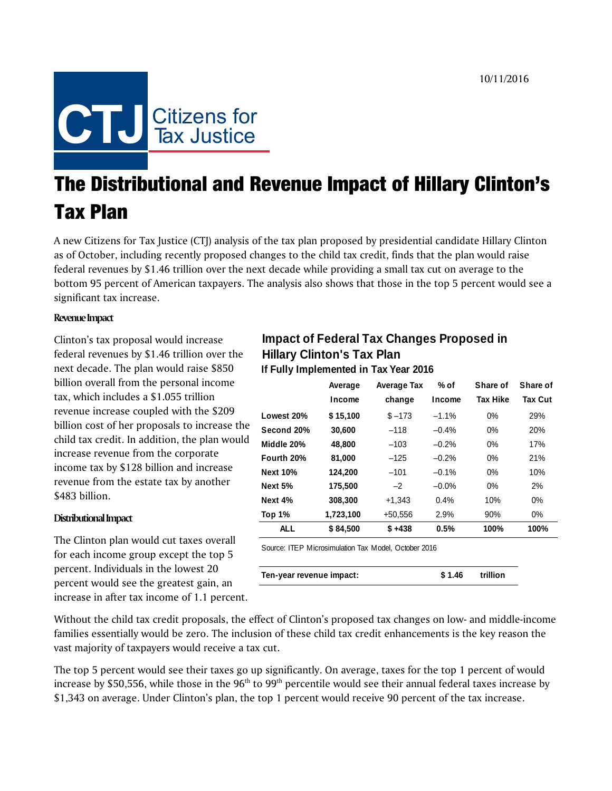

# The Distributional and Revenue Impact of Hillary Clinton's Tax Plan

A new Citizens for Tax Justice (CTJ) analysis of the tax plan proposed by presidential candidate Hillary Clinton as of October, including recently proposed changes to the child tax credit, finds that the plan would raise federal revenues by \$1.46 trillion over the next decade while providing a small tax cut on average to the bottom 95 percent of American taxpayers. The analysis also shows that those in the top 5 percent would see a significant tax increase.

### **Revenue Impact**

Clinton's tax proposal would increase federal revenues by \$1.46 trillion over the next decade. The plan would raise \$850 billion overall from the personal income tax, which includes a \$1.055 trillion revenue increase coupled with the \$209 billion cost of her proposals to increase the child tax credit. In addition, the plan would increase revenue from the corporate income tax by \$128 billion and increase revenue from the estate tax by another \$483 billion.

#### **Distributional Impact**

The Clinton plan would cut taxes overall for each income group except the top 5 percent. Individuals in the lowest 20 percent would see the greatest gain, an increase in after tax income of 1.1 percent.

# **Impact of Federal Tax Changes Proposed in Hillary Clinton's Tax Plan**

**If Fully Implemented in Tax Year 2016**

|                 | Average   | % of<br><b>Average Tax</b> |          | Share of        | Share of       |
|-----------------|-----------|----------------------------|----------|-----------------|----------------|
|                 | Income    | change                     | Income   | <b>Tax Hike</b> | <b>Tax Cut</b> |
| Lowest 20%      | \$15,100  | $$ -173$                   | $-1.1%$  | 0%              | 29%            |
| Second 20%      | 30,600    | $-118$                     | $-0.4%$  | 0%              | 20%            |
| Middle 20%      | 48,800    | $-103$                     | $-0.2%$  | 0%              | 17%            |
| Fourth 20%      | 81,000    | $-125$                     | $-0.2%$  | 0%              | 21%            |
| <b>Next 10%</b> | 124,200   | $-101$                     | $-0.1%$  | 0%              | 10%            |
| Next 5%         | 175,500   | $-2$                       | $-0.0\%$ | 0%              | 2%             |
| Next 4%         | 308,300   | $+1.343$                   | 0.4%     | 10%             | $0\%$          |
| Top 1%          | 1,723,100 | $+50,556$                  | 2.9%     | 90%             | 0%             |
| <b>ALL</b>      | \$84,500  | $$+438$                    | 0.5%     | 100%            | 100%           |
|                 |           |                            |          |                 |                |

Source: ITEP Microsimulation Tax Model, October 2016

| Ten-year revenue impact: | \$1.46 trillion |  |
|--------------------------|-----------------|--|
|                          |                 |  |

Without the child tax credit proposals, the effect of Clinton's proposed tax changes on low- and middle-income families essentially would be zero. The inclusion of these child tax credit enhancements is the key reason the vast majority of taxpayers would receive a tax cut.

The top 5 percent would see their taxes go up significantly. On average, taxes for the top 1 percent of would increase by \$50,556, while those in the  $96<sup>th</sup>$  to  $99<sup>th</sup>$  percentile would see their annual federal taxes increase by \$1,343 on average. Under Clinton's plan, the top 1 percent would receive 90 percent of the tax increase.